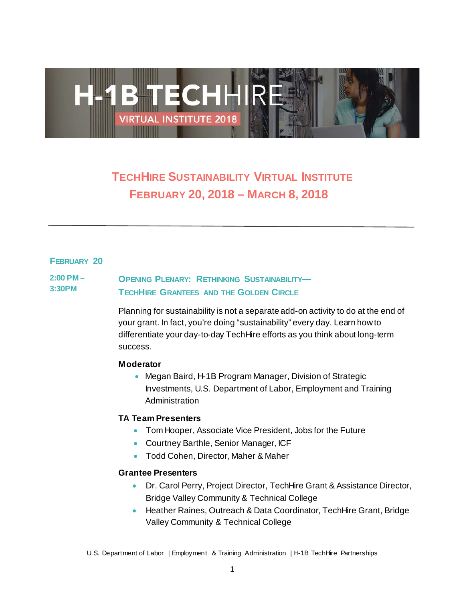

# **TECHHIRE SUSTAINABILITY VIRTUAL INSTITUTE FEBRUARY 20, 2018 – MARCH 8, 2018n**

## **FEBRUARY 20**

### **2:00 PM – 3:30PM OPENING PLENARY: RETHINKING SUSTAINABILITY— TECHHIRE GRANTEES AND THE GOLDEN CIRCLE**

Planning for sustainability is not a separate add-on activity to do at the end of your grant. In fact, you're doing "sustainability" every day. Learn how to differentiate your day-to-day TechHire efforts as you think about long-term success.

## **Moderator**

• Megan Baird, H-1B Program Manager, Division of Strategic Investments, U.S. Department of Labor, Employment and Training Administration

## **TA Team Presenters**

- Tom Hooper, Associate Vice President, Jobs for the Future
- Courtney Barthle, Senior Manager, ICF
- Todd Cohen, Director, Maher & Maher

## **Grantee Presenters**

- Dr. Carol Perry, Project Director, TechHire Grant & Assistance Director, Bridge Valley Community & Technical College
- Heather Raines, Outreach & Data Coordinator, TechHire Grant, Bridge Valley Community & Technical College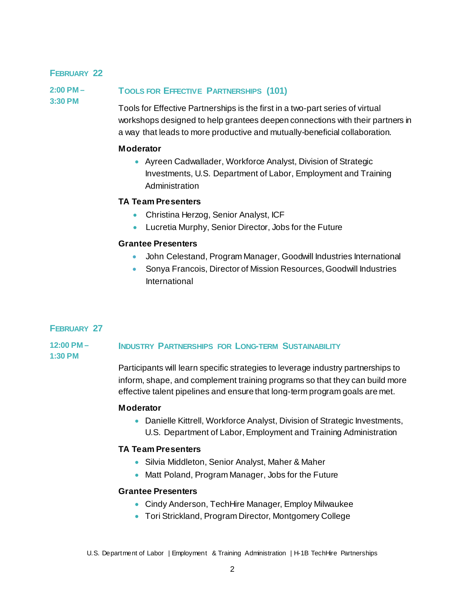## **FEBRUARY 22**

**2:00 PM – 3:30 PM**

## **TOOLS FOR EFFECTIVE PARTNERSHIPS (101)**

Tools for Effective Partnerships is the first in a two-part series of virtual workshops designed to help grantees deepen connections with their partners in a way that leads to more productive and mutually-beneficial collaboration.

## **Moderator**

• Ayreen Cadwallader, Workforce Analyst, Division of Strategic Investments, U.S. Department of Labor, Employment and Training Administration

## **TA Team Presenters**

- Christina Herzog, Senior Analyst, ICF
- Lucretia Murphy, Senior Director, Jobs for the Future

## **Grantee Presenters**

- John Celestand, Program Manager, Goodwill Industries International
- Sonya Francois, Director of Mission Resources, Goodwill Industries International

## **FEBRUARY 27**

#### **12:00 PM – INDUSTRY PARTNERSHIPS FOR LONG-TERM SUSTAINABILITY**

**1:30 PM**

Participants will learn specific strategies to leverage industry partnerships to inform, shape, and complement training programs so that they can build more effective talent pipelines and ensure that long-term program goals are met.

## **Moderator**

• Danielle Kittrell, Workforce Analyst, Division of Strategic Investments, U.S. Department of Labor, Employment and Training Administration

## **TA Team Presenters**

- Silvia Middleton, Senior Analyst, Maher & Maher
- Matt Poland, Program Manager, Jobs for the Future

## **Grantee Presenters**

- Cindy Anderson, TechHire Manager, Employ Milwaukee
- Tori Strickland, Program Director, Montgomery College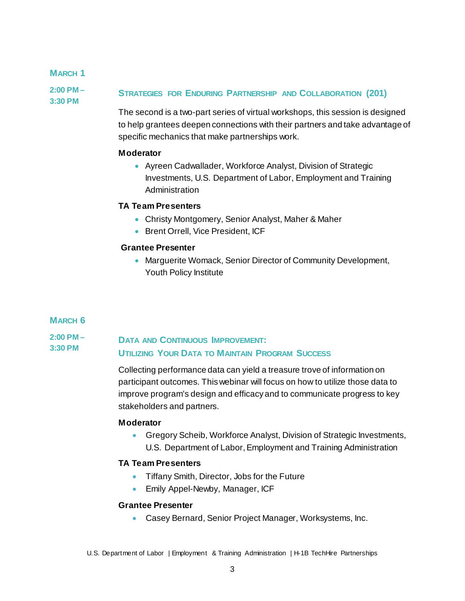## **MARCH 1**

**2:00 PM – 3:30 PM**

## **STRATEGIES FOR ENDURING PARTNERSHIP AND COLLABORATION (201)**

The second is a two-part series of virtual workshops, this session is designed to help grantees deepen connections with their partners and take advantage of specific mechanics that make partnerships work.

## **Moderator**

• Ayreen Cadwallader, Workforce Analyst, Division of Strategic Investments, U.S. Department of Labor, Employment and Training Administration

## **TA Team Presenters**

- Christy Montgomery, Senior Analyst, Maher & Maher
- Brent Orrell, Vice President, ICF

## **Grantee Presenter**

• Marguerite Womack, Senior Director of Community Development, Youth Policy Institute

## **MARCH 6**

### **2:00 PM – 3:30 PM DATA AND CONTINUOUS IMPROVEMENT: UTILIZING YOUR DATA TO MAINTAIN PROGRAM SUCCESS**

Collecting performance data can yield a treasure trove of information on participant outcomes. This webinar will focus on how to utilize those data to improve program's design and efficacy and to communicate progress to key stakeholders and partners.

## **Moderator**

• Gregory Scheib, Workforce Analyst, Division of Strategic Investments, U.S. Department of Labor, Employment and Training Administration

## **TA Team Presenters**

- Tiffany Smith, Director, Jobs for the Future
- Emily Appel-Newby, Manager, ICF

## **Grantee Presenter**

• Casey Bernard, Senior Project Manager, Worksystems, Inc.